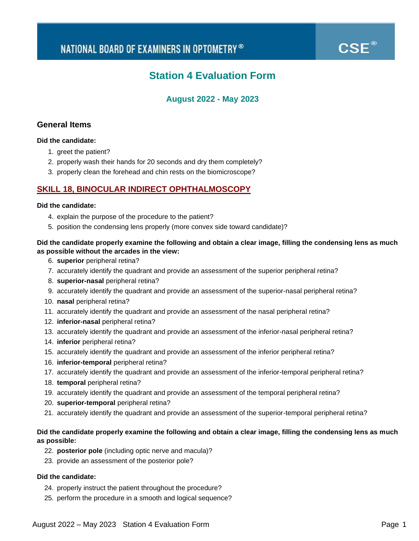$\mathsf{CSE}^\circledast$ 

# **Station 4 Evaluation Form**

# **August 2022 - May 2023**

# **General Items**

## **Did the candidate:**

- 1. greet the patient?
- 2. properly wash their hands for 20 seconds and dry them completely?
- 3. properly clean the forehead and chin rests on the biomicroscope?

# **SKILL 18, BINOCULAR INDIRECT OPHTHALMOSCOPY**

#### **Did the candidate:**

- 4. explain the purpose of the procedure to the patient?
- 5. position the condensing lens properly (more convex side toward candidate)?

## **Did the candidate properly examine the following and obtain a clear image, filling the condensing lens as much as possible without the arcades in the view:**

- 6. **superior** peripheral retina?
- 7. accurately identify the quadrant and provide an assessment of the superior peripheral retina?
- 8. **superior-nasal** peripheral retina?
- 9. accurately identify the quadrant and provide an assessment of the superior-nasal peripheral retina?
- 10. **nasal** peripheral retina?
- 11. accurately identify the quadrant and provide an assessment of the nasal peripheral retina?
- 12. **inferior-nasal** peripheral retina?
- 13. accurately identify the quadrant and provide an assessment of the inferior-nasal peripheral retina?
- 14. **inferior** peripheral retina?
- 15. accurately identify the quadrant and provide an assessment of the inferior peripheral retina?
- 16. **inferior-temporal** peripheral retina?
- 17. accurately identify the quadrant and provide an assessment of the inferior-temporal peripheral retina?
- 18. **temporal** peripheral retina?
- 19. accurately identify the quadrant and provide an assessment of the temporal peripheral retina?
- 20. **superior-temporal** peripheral retina?
- 21. accurately identify the quadrant and provide an assessment of the superior-temporal peripheral retina?

# **Did the candidate properly examine the following and obtain a clear image, filling the condensing lens as much as possible:**

- 22. **posterior pole** (including optic nerve and macula)?
- 23. provide an assessment of the posterior pole?

# **Did the candidate:**

- 24. properly instruct the patient throughout the procedure?
- 25. perform the procedure in a smooth and logical sequence?